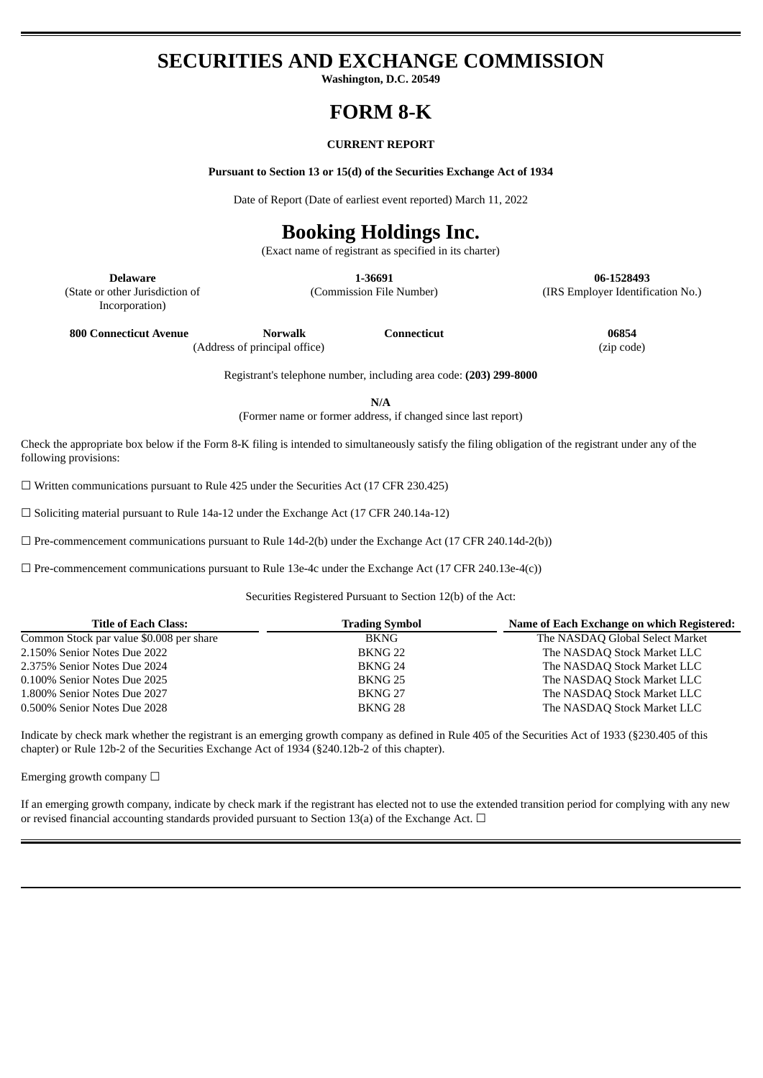## **SECURITIES AND EXCHANGE COMMISSION**

**Washington, D.C. 20549**

### **FORM 8-K**

#### **CURRENT REPORT**

**Pursuant to Section 13 or 15(d) of the Securities Exchange Act of 1934**

Date of Report (Date of earliest event reported) March 11, 2022

# **Booking Holdings Inc.**

(Exact name of registrant as specified in its charter)

**Delaware 1-36691 06-1528493** (Commission File Number) (IRS Employer Identification No.)

(State or other Jurisdiction of Incorporation)

**800 Connecticut Avenue Norwalk Connecticut 06854** (Address of principal office) (zip code)

Registrant's telephone number, including area code: **(203) 299-8000**

**N/A**

(Former name or former address, if changed since last report)

Check the appropriate box below if the Form 8-K filing is intended to simultaneously satisfy the filing obligation of the registrant under any of the following provisions:

☐ Written communications pursuant to Rule 425 under the Securities Act (17 CFR 230.425)

 $\Box$  Soliciting material pursuant to Rule 14a-12 under the Exchange Act (17 CFR 240.14a-12)

 $\Box$  Pre-commencement communications pursuant to Rule 14d-2(b) under the Exchange Act (17 CFR 240.14d-2(b))

 $\Box$  Pre-commencement communications pursuant to Rule 13e-4c under the Exchange Act (17 CFR 240.13e-4(c))

Securities Registered Pursuant to Section 12(b) of the Act:

| <b>Title of Each Class:</b>              | <b>Trading Symbol</b> | Name of Each Exchange on which Registered: |
|------------------------------------------|-----------------------|--------------------------------------------|
| Common Stock par value \$0.008 per share | BKNG.                 | The NASDAQ Global Select Market            |
| 2.150% Senior Notes Due 2022             | BKNG <sub>22</sub>    | The NASDAQ Stock Market LLC                |
| 2.375% Senior Notes Due 2024             | BKNG 24               | The NASDAQ Stock Market LLC                |
| 0.100% Senior Notes Due 2025             | <b>BKNG 25</b>        | The NASDAQ Stock Market LLC                |
| 1.800% Senior Notes Due 2027             | BKNG <sub>27</sub>    | The NASDAQ Stock Market LLC                |
| 0.500% Senior Notes Due 2028             | BKNG <sub>28</sub>    | The NASDAQ Stock Market LLC                |

Indicate by check mark whether the registrant is an emerging growth company as defined in Rule 405 of the Securities Act of 1933 (§230.405 of this chapter) or Rule 12b-2 of the Securities Exchange Act of 1934 (§240.12b-2 of this chapter).

Emerging growth company  $\Box$ 

If an emerging growth company, indicate by check mark if the registrant has elected not to use the extended transition period for complying with any new or revised financial accounting standards provided pursuant to Section 13(a) of the Exchange Act.  $\Box$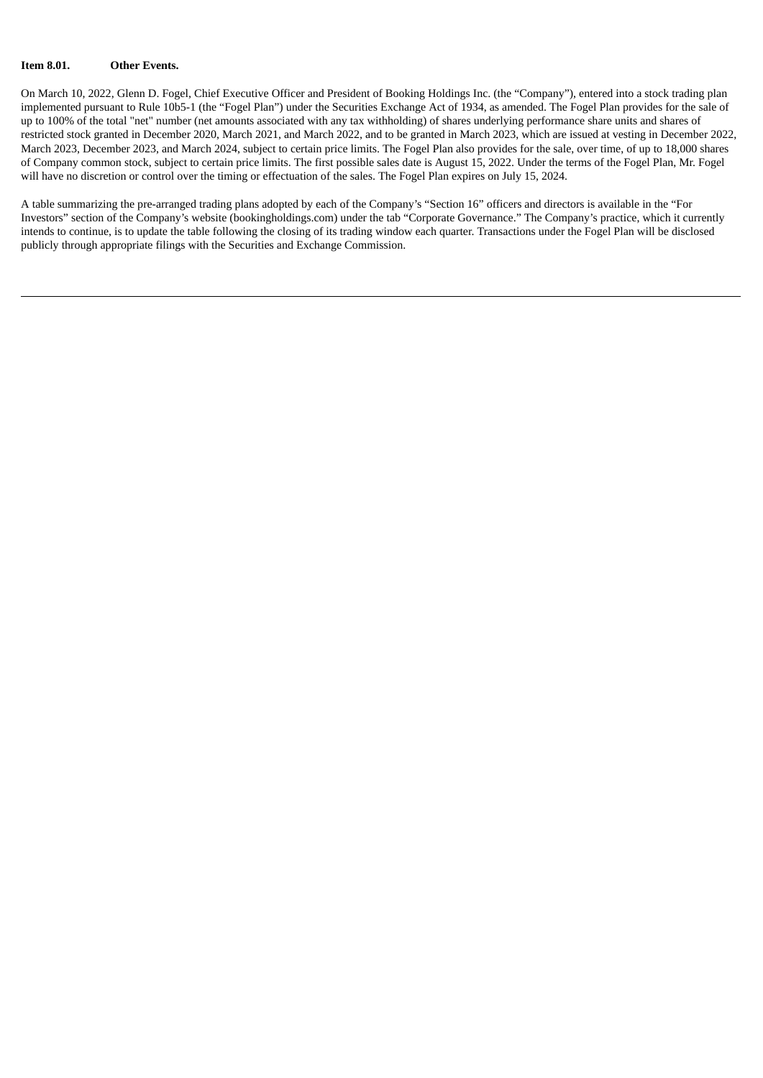#### **Item 8.01. Other Events.**

On March 10, 2022, Glenn D. Fogel, Chief Executive Officer and President of Booking Holdings Inc. (the "Company"), entered into a stock trading plan implemented pursuant to Rule 10b5-1 (the "Fogel Plan") under the Securities Exchange Act of 1934, as amended. The Fogel Plan provides for the sale of up to 100% of the total "net" number (net amounts associated with any tax withholding) of shares underlying performance share units and shares of restricted stock granted in December 2020, March 2021, and March 2022, and to be granted in March 2023, which are issued at vesting in December 2022, March 2023, December 2023, and March 2024, subject to certain price limits. The Fogel Plan also provides for the sale, over time, of up to 18,000 shares of Company common stock, subject to certain price limits. The first possible sales date is August 15, 2022. Under the terms of the Fogel Plan, Mr. Fogel will have no discretion or control over the timing or effectuation of the sales. The Fogel Plan expires on July 15, 2024.

A table summarizing the pre-arranged trading plans adopted by each of the Company's "Section 16" officers and directors is available in the "For Investors" section of the Company's website (bookingholdings.com) under the tab "Corporate Governance." The Company's practice, which it currently intends to continue, is to update the table following the closing of its trading window each quarter. Transactions under the Fogel Plan will be disclosed publicly through appropriate filings with the Securities and Exchange Commission.